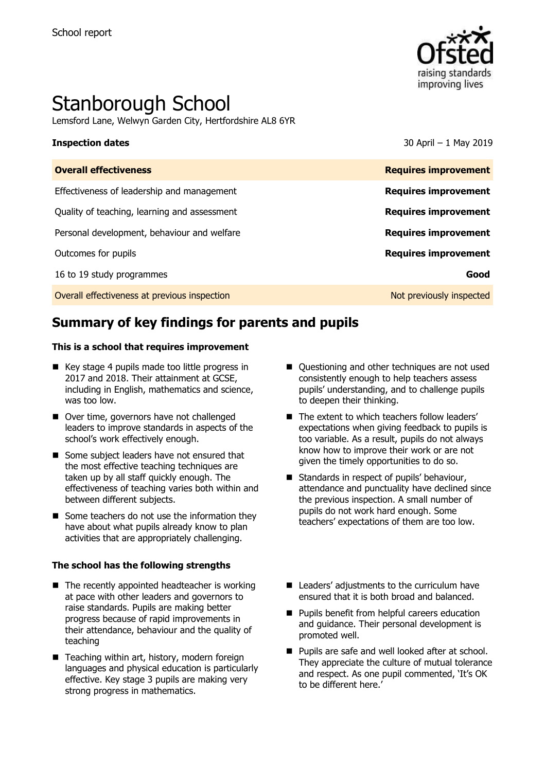

# Stanborough School

Lemsford Lane, Welwyn Garden City, Hertfordshire AL8 6YR

**Inspection dates** 30 April – 1 May 2019

| <b>Overall effectiveness</b>                 | <b>Requires improvement</b> |
|----------------------------------------------|-----------------------------|
| Effectiveness of leadership and management   | <b>Requires improvement</b> |
| Quality of teaching, learning and assessment | <b>Requires improvement</b> |
| Personal development, behaviour and welfare  | <b>Requires improvement</b> |
| Outcomes for pupils                          | <b>Requires improvement</b> |
| 16 to 19 study programmes                    | Good                        |
| Overall effectiveness at previous inspection | Not previously inspected    |

# **Summary of key findings for parents and pupils**

#### **This is a school that requires improvement**

- $\blacksquare$  Key stage 4 pupils made too little progress in 2017 and 2018. Their attainment at GCSE, including in English, mathematics and science, was too low.
- Over time, governors have not challenged leaders to improve standards in aspects of the school's work effectively enough.
- Some subject leaders have not ensured that the most effective teaching techniques are taken up by all staff quickly enough. The effectiveness of teaching varies both within and between different subjects.
- $\blacksquare$  Some teachers do not use the information they have about what pupils already know to plan activities that are appropriately challenging.

#### **The school has the following strengths**

- $\blacksquare$  The recently appointed headteacher is working at pace with other leaders and governors to raise standards. Pupils are making better progress because of rapid improvements in their attendance, behaviour and the quality of teaching
- $\blacksquare$  Teaching within art, history, modern foreign languages and physical education is particularly effective. Key stage 3 pupils are making very strong progress in mathematics.
- Ouestioning and other techniques are not used consistently enough to help teachers assess pupils' understanding, and to challenge pupils to deepen their thinking.
- The extent to which teachers follow leaders' expectations when giving feedback to pupils is too variable. As a result, pupils do not always know how to improve their work or are not given the timely opportunities to do so.
- Standards in respect of pupils' behaviour, attendance and punctuality have declined since the previous inspection. A small number of pupils do not work hard enough. Some teachers' expectations of them are too low.
- Leaders' adjustments to the curriculum have ensured that it is both broad and balanced.
- **Pupils benefit from helpful careers education** and guidance. Their personal development is promoted well.
- **Pupils are safe and well looked after at school.** They appreciate the culture of mutual tolerance and respect. As one pupil commented, 'It's OK to be different here.'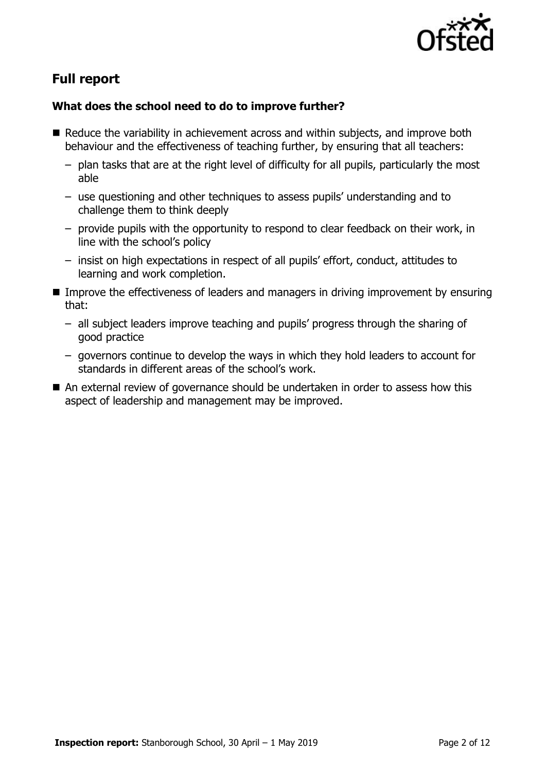

# **Full report**

### **What does the school need to do to improve further?**

- Reduce the variability in achievement across and within subjects, and improve both behaviour and the effectiveness of teaching further, by ensuring that all teachers:
	- plan tasks that are at the right level of difficulty for all pupils, particularly the most able
	- use questioning and other techniques to assess pupils' understanding and to challenge them to think deeply
	- provide pupils with the opportunity to respond to clear feedback on their work, in line with the school's policy
	- insist on high expectations in respect of all pupils' effort, conduct, attitudes to learning and work completion.
- Improve the effectiveness of leaders and managers in driving improvement by ensuring that:
	- all subject leaders improve teaching and pupils' progress through the sharing of good practice
	- governors continue to develop the ways in which they hold leaders to account for standards in different areas of the school's work.
- An external review of governance should be undertaken in order to assess how this aspect of leadership and management may be improved.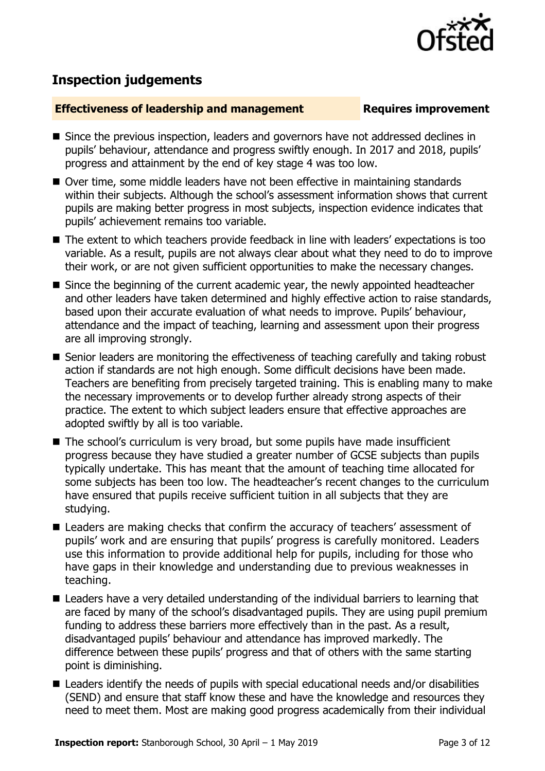

## **Inspection judgements**

#### **Effectiveness of leadership and management Requires improvement**

- Since the previous inspection, leaders and governors have not addressed declines in pupils' behaviour, attendance and progress swiftly enough. In 2017 and 2018, pupils' progress and attainment by the end of key stage 4 was too low.
- Over time, some middle leaders have not been effective in maintaining standards within their subjects. Although the school's assessment information shows that current pupils are making better progress in most subjects, inspection evidence indicates that pupils' achievement remains too variable.
- The extent to which teachers provide feedback in line with leaders' expectations is too variable. As a result, pupils are not always clear about what they need to do to improve their work, or are not given sufficient opportunities to make the necessary changes.
- Since the beginning of the current academic year, the newly appointed headteacher and other leaders have taken determined and highly effective action to raise standards, based upon their accurate evaluation of what needs to improve. Pupils' behaviour, attendance and the impact of teaching, learning and assessment upon their progress are all improving strongly.
- Senior leaders are monitoring the effectiveness of teaching carefully and taking robust action if standards are not high enough. Some difficult decisions have been made. Teachers are benefiting from precisely targeted training. This is enabling many to make the necessary improvements or to develop further already strong aspects of their practice. The extent to which subject leaders ensure that effective approaches are adopted swiftly by all is too variable.
- The school's curriculum is very broad, but some pupils have made insufficient progress because they have studied a greater number of GCSE subjects than pupils typically undertake. This has meant that the amount of teaching time allocated for some subjects has been too low. The headteacher's recent changes to the curriculum have ensured that pupils receive sufficient tuition in all subjects that they are studying.
- Leaders are making checks that confirm the accuracy of teachers' assessment of pupils' work and are ensuring that pupils' progress is carefully monitored. Leaders use this information to provide additional help for pupils, including for those who have gaps in their knowledge and understanding due to previous weaknesses in teaching.
- Leaders have a very detailed understanding of the individual barriers to learning that are faced by many of the school's disadvantaged pupils. They are using pupil premium funding to address these barriers more effectively than in the past. As a result, disadvantaged pupils' behaviour and attendance has improved markedly. The difference between these pupils' progress and that of others with the same starting point is diminishing.
- Leaders identify the needs of pupils with special educational needs and/or disabilities (SEND) and ensure that staff know these and have the knowledge and resources they need to meet them. Most are making good progress academically from their individual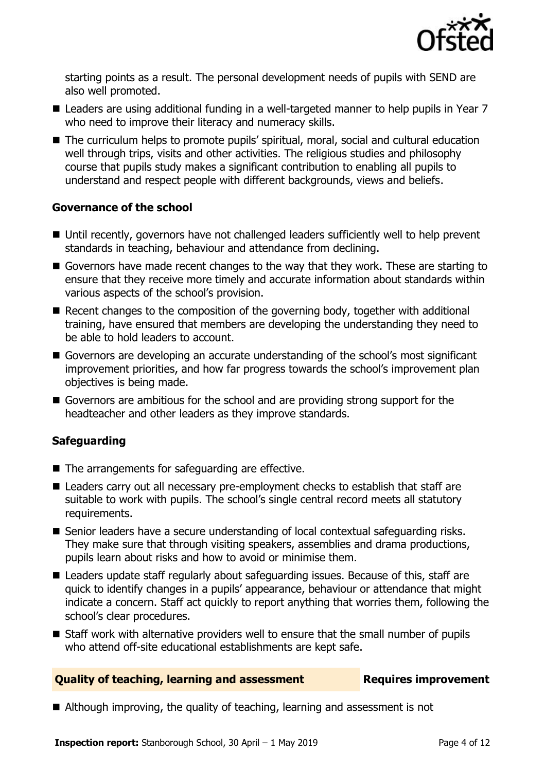

starting points as a result. The personal development needs of pupils with SEND are also well promoted.

- Leaders are using additional funding in a well-targeted manner to help pupils in Year 7 who need to improve their literacy and numeracy skills.
- The curriculum helps to promote pupils' spiritual, moral, social and cultural education well through trips, visits and other activities. The religious studies and philosophy course that pupils study makes a significant contribution to enabling all pupils to understand and respect people with different backgrounds, views and beliefs.

### **Governance of the school**

- Until recently, governors have not challenged leaders sufficiently well to help prevent standards in teaching, behaviour and attendance from declining.
- Governors have made recent changes to the way that they work. These are starting to ensure that they receive more timely and accurate information about standards within various aspects of the school's provision.
- Recent changes to the composition of the governing body, together with additional training, have ensured that members are developing the understanding they need to be able to hold leaders to account.
- Governors are developing an accurate understanding of the school's most significant improvement priorities, and how far progress towards the school's improvement plan objectives is being made.
- Governors are ambitious for the school and are providing strong support for the headteacher and other leaders as they improve standards.

### **Safeguarding**

- $\blacksquare$  The arrangements for safeguarding are effective.
- Leaders carry out all necessary pre-employment checks to establish that staff are suitable to work with pupils. The school's single central record meets all statutory requirements.
- Senior leaders have a secure understanding of local contextual safequarding risks. They make sure that through visiting speakers, assemblies and drama productions, pupils learn about risks and how to avoid or minimise them.
- Leaders update staff regularly about safeguarding issues. Because of this, staff are quick to identify changes in a pupils' appearance, behaviour or attendance that might indicate a concern. Staff act quickly to report anything that worries them, following the school's clear procedures.
- Staff work with alternative providers well to ensure that the small number of pupils who attend off-site educational establishments are kept safe.

#### **Quality of teaching, learning and assessment France Requires improvement**

■ Although improving, the quality of teaching, learning and assessment is not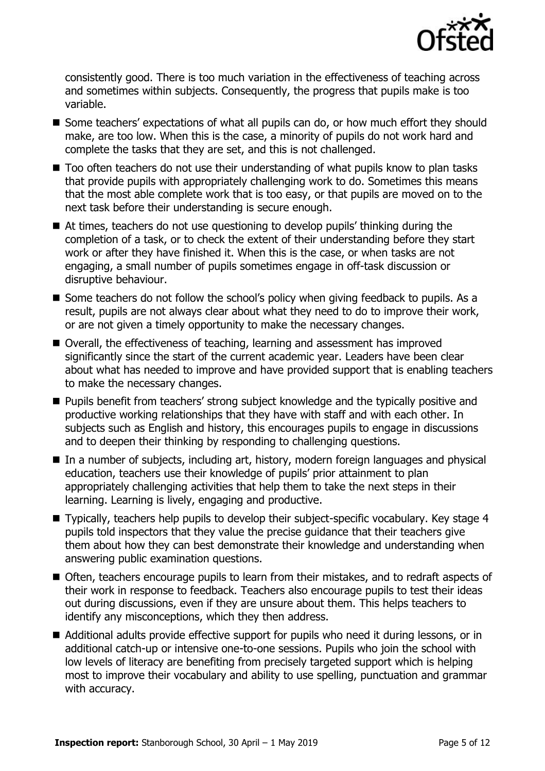

consistently good. There is too much variation in the effectiveness of teaching across and sometimes within subjects. Consequently, the progress that pupils make is too variable.

- Some teachers' expectations of what all pupils can do, or how much effort they should make, are too low. When this is the case, a minority of pupils do not work hard and complete the tasks that they are set, and this is not challenged.
- Too often teachers do not use their understanding of what pupils know to plan tasks that provide pupils with appropriately challenging work to do. Sometimes this means that the most able complete work that is too easy, or that pupils are moved on to the next task before their understanding is secure enough.
- At times, teachers do not use questioning to develop pupils' thinking during the completion of a task, or to check the extent of their understanding before they start work or after they have finished it. When this is the case, or when tasks are not engaging, a small number of pupils sometimes engage in off-task discussion or disruptive behaviour.
- Some teachers do not follow the school's policy when giving feedback to pupils. As a result, pupils are not always clear about what they need to do to improve their work, or are not given a timely opportunity to make the necessary changes.
- Overall, the effectiveness of teaching, learning and assessment has improved significantly since the start of the current academic year. Leaders have been clear about what has needed to improve and have provided support that is enabling teachers to make the necessary changes.
- **Pupils benefit from teachers' strong subject knowledge and the typically positive and** productive working relationships that they have with staff and with each other. In subjects such as English and history, this encourages pupils to engage in discussions and to deepen their thinking by responding to challenging questions.
- In a number of subjects, including art, history, modern foreign languages and physical education, teachers use their knowledge of pupils' prior attainment to plan appropriately challenging activities that help them to take the next steps in their learning. Learning is lively, engaging and productive.
- Typically, teachers help pupils to develop their subject-specific vocabulary. Key stage 4 pupils told inspectors that they value the precise guidance that their teachers give them about how they can best demonstrate their knowledge and understanding when answering public examination questions.
- Often, teachers encourage pupils to learn from their mistakes, and to redraft aspects of their work in response to feedback. Teachers also encourage pupils to test their ideas out during discussions, even if they are unsure about them. This helps teachers to identify any misconceptions, which they then address.
- Additional adults provide effective support for pupils who need it during lessons, or in additional catch-up or intensive one-to-one sessions. Pupils who join the school with low levels of literacy are benefiting from precisely targeted support which is helping most to improve their vocabulary and ability to use spelling, punctuation and grammar with accuracy.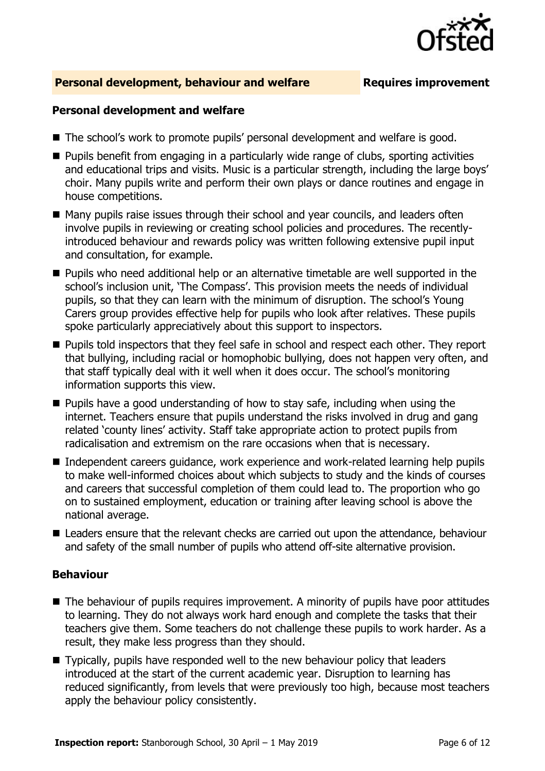

#### **Personal development, behaviour and welfare Fig. 2.1 Requires improvement**

#### **Personal development and welfare**

- The school's work to promote pupils' personal development and welfare is good.
- **Pupils benefit from engaging in a particularly wide range of clubs, sporting activities** and educational trips and visits. Music is a particular strength, including the large boys' choir. Many pupils write and perform their own plays or dance routines and engage in house competitions.
- Many pupils raise issues through their school and year councils, and leaders often involve pupils in reviewing or creating school policies and procedures. The recentlyintroduced behaviour and rewards policy was written following extensive pupil input and consultation, for example.
- **Pupils who need additional help or an alternative timetable are well supported in the** school's inclusion unit, 'The Compass'. This provision meets the needs of individual pupils, so that they can learn with the minimum of disruption. The school's Young Carers group provides effective help for pupils who look after relatives. These pupils spoke particularly appreciatively about this support to inspectors.
- **Pupils told inspectors that they feel safe in school and respect each other. They report** that bullying, including racial or homophobic bullying, does not happen very often, and that staff typically deal with it well when it does occur. The school's monitoring information supports this view.
- $\blacksquare$  Pupils have a good understanding of how to stay safe, including when using the internet. Teachers ensure that pupils understand the risks involved in drug and gang related 'county lines' activity. Staff take appropriate action to protect pupils from radicalisation and extremism on the rare occasions when that is necessary.
- Independent careers quidance, work experience and work-related learning help pupils to make well-informed choices about which subjects to study and the kinds of courses and careers that successful completion of them could lead to. The proportion who go on to sustained employment, education or training after leaving school is above the national average.
- Leaders ensure that the relevant checks are carried out upon the attendance, behaviour and safety of the small number of pupils who attend off-site alternative provision.

#### **Behaviour**

- The behaviour of pupils requires improvement. A minority of pupils have poor attitudes to learning. They do not always work hard enough and complete the tasks that their teachers give them. Some teachers do not challenge these pupils to work harder. As a result, they make less progress than they should.
- Typically, pupils have responded well to the new behaviour policy that leaders introduced at the start of the current academic year. Disruption to learning has reduced significantly, from levels that were previously too high, because most teachers apply the behaviour policy consistently.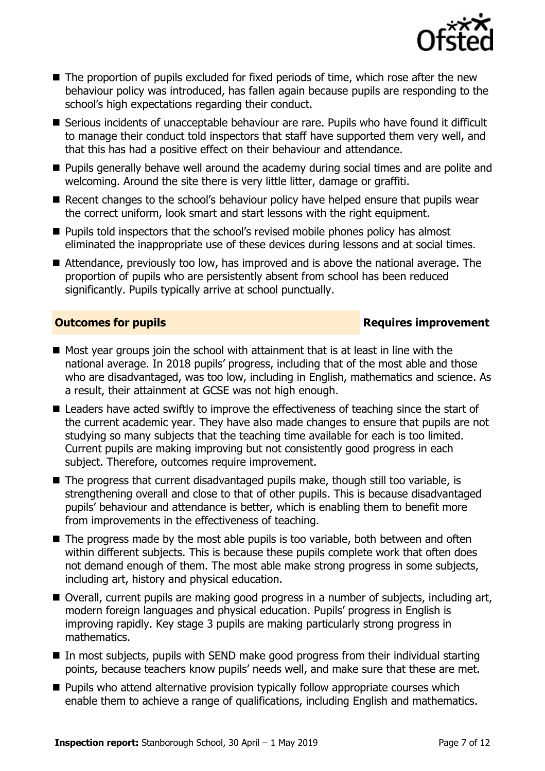

- The proportion of pupils excluded for fixed periods of time, which rose after the new behaviour policy was introduced, has fallen again because pupils are responding to the school's high expectations regarding their conduct.
- Serious incidents of unacceptable behaviour are rare. Pupils who have found it difficult to manage their conduct told inspectors that staff have supported them very well, and that this has had a positive effect on their behaviour and attendance.
- **Pupils generally behave well around the academy during social times and are polite and** welcoming. Around the site there is very little litter, damage or graffiti.
- Recent changes to the school's behaviour policy have helped ensure that pupils wear the correct uniform, look smart and start lessons with the right equipment.
- **Pupils told inspectors that the school's revised mobile phones policy has almost** eliminated the inappropriate use of these devices during lessons and at social times.
- Attendance, previously too low, has improved and is above the national average. The proportion of pupils who are persistently absent from school has been reduced significantly. Pupils typically arrive at school punctually.

### **Outcomes for pupils Requires improvement**

- $\blacksquare$  Most year groups join the school with attainment that is at least in line with the national average. In 2018 pupils' progress, including that of the most able and those who are disadvantaged, was too low, including in English, mathematics and science. As a result, their attainment at GCSE was not high enough.
- Leaders have acted swiftly to improve the effectiveness of teaching since the start of the current academic year. They have also made changes to ensure that pupils are not studying so many subjects that the teaching time available for each is too limited. Current pupils are making improving but not consistently good progress in each subject. Therefore, outcomes require improvement.
- The progress that current disadvantaged pupils make, though still too variable, is strengthening overall and close to that of other pupils. This is because disadvantaged pupils' behaviour and attendance is better, which is enabling them to benefit more from improvements in the effectiveness of teaching.
- The progress made by the most able pupils is too variable, both between and often within different subjects. This is because these pupils complete work that often does not demand enough of them. The most able make strong progress in some subjects, including art, history and physical education.
- Overall, current pupils are making good progress in a number of subjects, including art, modern foreign languages and physical education. Pupils' progress in English is improving rapidly. Key stage 3 pupils are making particularly strong progress in mathematics.
- $\blacksquare$  In most subjects, pupils with SEND make good progress from their individual starting points, because teachers know pupils' needs well, and make sure that these are met.
- **Pupils who attend alternative provision typically follow appropriate courses which** enable them to achieve a range of qualifications, including English and mathematics.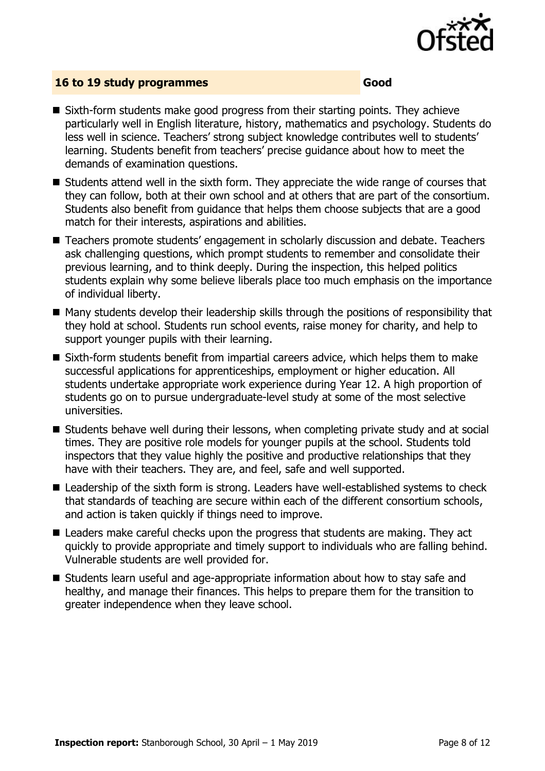

#### **16 to 19 study programmes Good**

- Sixth-form students make good progress from their starting points. They achieve particularly well in English literature, history, mathematics and psychology. Students do less well in science. Teachers' strong subject knowledge contributes well to students' learning. Students benefit from teachers' precise guidance about how to meet the demands of examination questions.
- $\blacksquare$  Students attend well in the sixth form. They appreciate the wide range of courses that they can follow, both at their own school and at others that are part of the consortium. Students also benefit from guidance that helps them choose subjects that are a good match for their interests, aspirations and abilities.
- Teachers promote students' engagement in scholarly discussion and debate. Teachers ask challenging questions, which prompt students to remember and consolidate their previous learning, and to think deeply. During the inspection, this helped politics students explain why some believe liberals place too much emphasis on the importance of individual liberty.
- Many students develop their leadership skills through the positions of responsibility that they hold at school. Students run school events, raise money for charity, and help to support younger pupils with their learning.
- Sixth-form students benefit from impartial careers advice, which helps them to make successful applications for apprenticeships, employment or higher education. All students undertake appropriate work experience during Year 12. A high proportion of students go on to pursue undergraduate-level study at some of the most selective universities.
- Students behave well during their lessons, when completing private study and at social times. They are positive role models for younger pupils at the school. Students told inspectors that they value highly the positive and productive relationships that they have with their teachers. They are, and feel, safe and well supported.
- Leadership of the sixth form is strong. Leaders have well-established systems to check that standards of teaching are secure within each of the different consortium schools, and action is taken quickly if things need to improve.
- Leaders make careful checks upon the progress that students are making. They act quickly to provide appropriate and timely support to individuals who are falling behind. Vulnerable students are well provided for.
- Students learn useful and age-appropriate information about how to stay safe and healthy, and manage their finances. This helps to prepare them for the transition to greater independence when they leave school.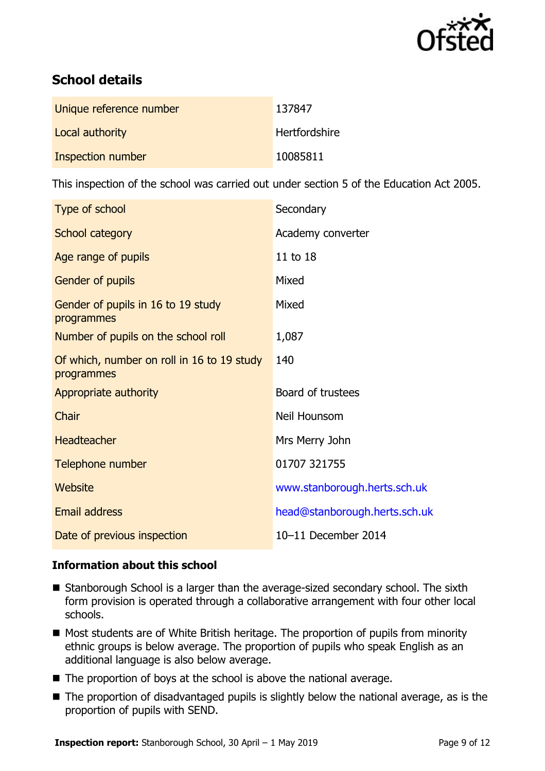

# **School details**

| Unique reference number | 137847               |
|-------------------------|----------------------|
| Local authority         | <b>Hertfordshire</b> |
| Inspection number       | 10085811             |

This inspection of the school was carried out under section 5 of the Education Act 2005.

| Type of school                                           | Secondary                     |
|----------------------------------------------------------|-------------------------------|
| School category                                          | Academy converter             |
| Age range of pupils                                      | 11 to 18                      |
| Gender of pupils                                         | Mixed                         |
| Gender of pupils in 16 to 19 study<br>programmes         | Mixed                         |
| Number of pupils on the school roll                      | 1,087                         |
| Of which, number on roll in 16 to 19 study<br>programmes | 140                           |
| Appropriate authority                                    | Board of trustees             |
| Chair                                                    | Neil Hounsom                  |
| <b>Headteacher</b>                                       | Mrs Merry John                |
| Telephone number                                         | 01707 321755                  |
| Website                                                  | www.stanborough.herts.sch.uk  |
| <b>Email address</b>                                     | head@stanborough.herts.sch.uk |
| Date of previous inspection                              | 10-11 December 2014           |

### **Information about this school**

- Stanborough School is a larger than the average-sized secondary school. The sixth form provision is operated through a collaborative arrangement with four other local schools.
- $\blacksquare$  Most students are of White British heritage. The proportion of pupils from minority ethnic groups is below average. The proportion of pupils who speak English as an additional language is also below average.
- $\blacksquare$  The proportion of boys at the school is above the national average.
- The proportion of disadvantaged pupils is slightly below the national average, as is the proportion of pupils with SEND.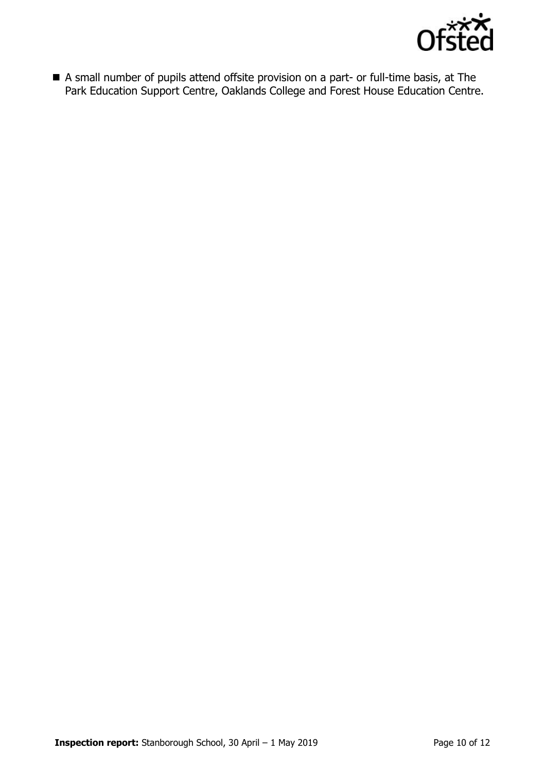

 A small number of pupils attend offsite provision on a part- or full-time basis, at The Park Education Support Centre, Oaklands College and Forest House Education Centre.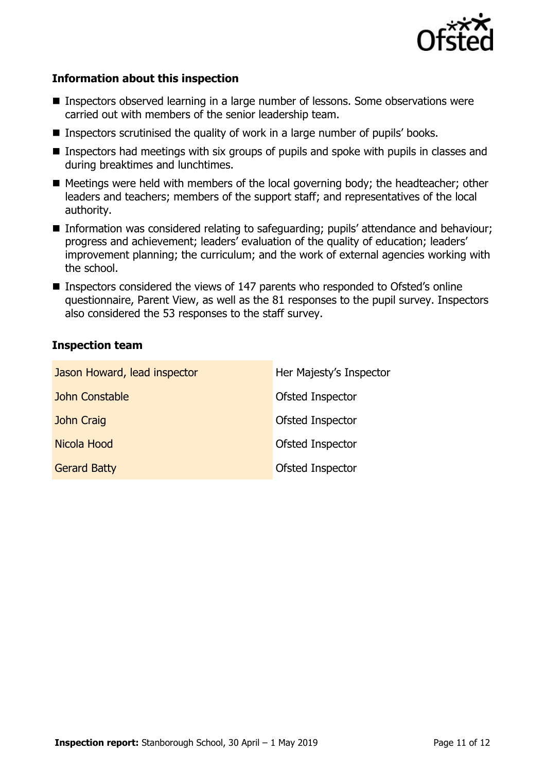

#### **Information about this inspection**

- Inspectors observed learning in a large number of lessons. Some observations were carried out with members of the senior leadership team.
- Inspectors scrutinised the quality of work in a large number of pupils' books.
- **Inspectors had meetings with six groups of pupils and spoke with pupils in classes and** during breaktimes and lunchtimes.
- Meetings were held with members of the local governing body; the headteacher; other leaders and teachers; members of the support staff; and representatives of the local authority.
- Information was considered relating to safeguarding; pupils' attendance and behaviour; progress and achievement; leaders' evaluation of the quality of education; leaders' improvement planning; the curriculum; and the work of external agencies working with the school.
- Inspectors considered the views of 147 parents who responded to Ofsted's online questionnaire, Parent View, as well as the 81 responses to the pupil survey. Inspectors also considered the 53 responses to the staff survey.

#### **Inspection team**

| Jason Howard, lead inspector | Her Majesty's Inspector |
|------------------------------|-------------------------|
| John Constable               | Ofsted Inspector        |
| John Craig                   | Ofsted Inspector        |
| Nicola Hood                  | Ofsted Inspector        |
| <b>Gerard Batty</b>          | Ofsted Inspector        |